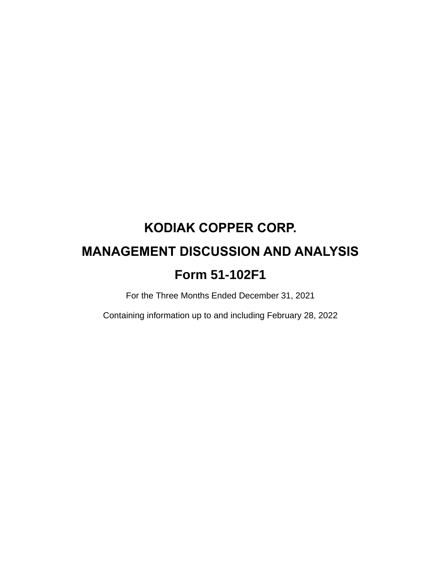# **KODIAK COPPER CORP. MANAGEMENT DISCUSSION AND ANALYSIS Form 51-102F1**

For the Three Months Ended December 31, 2021

Containing information up to and including February 28, 2022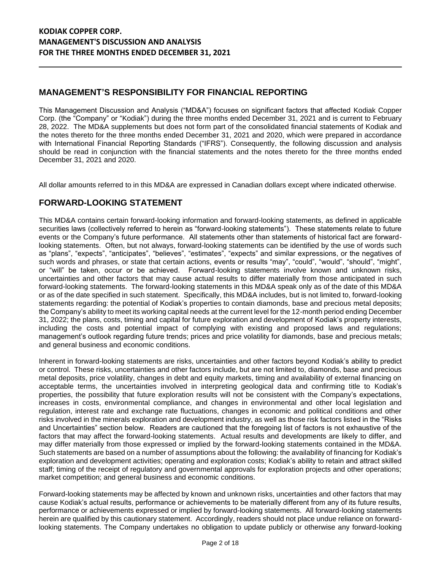# **MANAGEMENT'S RESPONSIBILITY FOR FINANCIAL REPORTING**

This Management Discussion and Analysis ("MD&A") focuses on significant factors that affected Kodiak Copper Corp. (the "Company" or "Kodiak") during the three months ended December 31, 2021 and is current to February 28, 2022. The MD&A supplements but does not form part of the consolidated financial statements of Kodiak and the notes thereto for the three months ended December 31, 2021 and 2020, which were prepared in accordance with International Financial Reporting Standards ("IFRS"). Consequently, the following discussion and analysis should be read in conjunction with the financial statements and the notes thereto for the three months ended December 31, 2021 and 2020.

All dollar amounts referred to in this MD&A are expressed in Canadian dollars except where indicated otherwise.

# **FORWARD-LOOKING STATEMENT**

This MD&A contains certain forward-looking information and forward-looking statements, as defined in applicable securities laws (collectively referred to herein as "forward-looking statements"). These statements relate to future events or the Company's future performance. All statements other than statements of historical fact are forwardlooking statements. Often, but not always, forward-looking statements can be identified by the use of words such as "plans", "expects", "anticipates", "believes", "estimates", "expects" and similar expressions, or the negatives of such words and phrases, or state that certain actions, events or results "may", "could", "would", "should", "might", or "will" be taken, occur or be achieved. Forward-looking statements involve known and unknown risks, uncertainties and other factors that may cause actual results to differ materially from those anticipated in such forward-looking statements. The forward-looking statements in this MD&A speak only as of the date of this MD&A or as of the date specified in such statement. Specifically, this MD&A includes, but is not limited to, forward-looking statements regarding: the potential of Kodiak's properties to contain diamonds, base and precious metal deposits; the Company's ability to meet its working capital needs at the current level for the 12-month period ending December 31, 2022; the plans, costs, timing and capital for future exploration and development of Kodiak's property interests, including the costs and potential impact of complying with existing and proposed laws and regulations; management's outlook regarding future trends; prices and price volatility for diamonds, base and precious metals; and general business and economic conditions.

Inherent in forward-looking statements are risks, uncertainties and other factors beyond Kodiak's ability to predict or control. These risks, uncertainties and other factors include, but are not limited to, diamonds, base and precious metal deposits, price volatility, changes in debt and equity markets, timing and availability of external financing on acceptable terms, the uncertainties involved in interpreting geological data and confirming title to Kodiak's properties, the possibility that future exploration results will not be consistent with the Company's expectations, increases in costs, environmental compliance, and changes in environmental and other local legislation and regulation, interest rate and exchange rate fluctuations, changes in economic and political conditions and other risks involved in the minerals exploration and development industry, as well as those risk factors listed in the "Risks and Uncertainties" section below. Readers are cautioned that the foregoing list of factors is not exhaustive of the factors that may affect the forward-looking statements. Actual results and developments are likely to differ, and may differ materially from those expressed or implied by the forward-looking statements contained in the MD&A. Such statements are based on a number of assumptions about the following: the availability of financing for Kodiak's exploration and development activities; operating and exploration costs; Kodiak's ability to retain and attract skilled staff; timing of the receipt of regulatory and governmental approvals for exploration projects and other operations; market competition; and general business and economic conditions.

Forward-looking statements may be affected by known and unknown risks, uncertainties and other factors that may cause Kodiak's actual results, performance or achievements to be materially different from any of its future results, performance or achievements expressed or implied by forward-looking statements. All forward-looking statements herein are qualified by this cautionary statement. Accordingly, readers should not place undue reliance on forwardlooking statements. The Company undertakes no obligation to update publicly or otherwise any forward-looking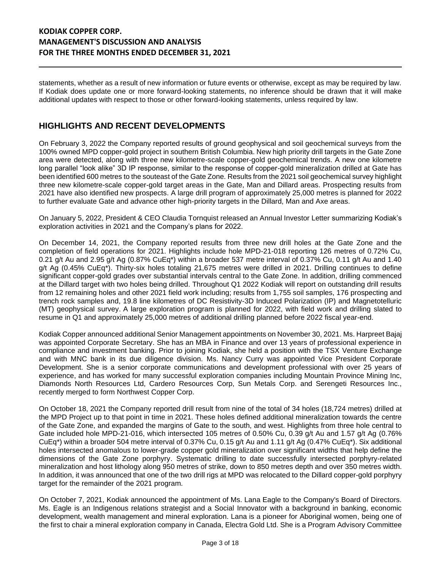statements, whether as a result of new information or future events or otherwise, except as may be required by law. If Kodiak does update one or more forward-looking statements, no inference should be drawn that it will make additional updates with respect to those or other forward-looking statements, unless required by law.

## **HIGHLIGHTS AND RECENT DEVELOPMENTS**

On February 3, 2022 the Company reported results of ground geophysical and soil geochemical surveys from the 100% owned MPD copper-gold project in southern British Columbia. New high priority drill targets in the Gate Zone area were detected, along with three new kilometre-scale copper-gold geochemical trends. A new one kilometre long parallel "look alike" 3D IP response, similar to the response of copper-gold mineralization drilled at Gate has been identified 600 metres to the souteast of the Gate Zone. Results from the 2021 soil geochemical survey highlight three new kilometre-scale copper-gold target areas in the Gate, Man and Dillard areas. Prospecting results from 2021 have also identified new prospects. A large drill program of approximately 25,000 metres is planned for 2022 to further evaluate Gate and advance other high-priority targets in the Dillard, Man and Axe areas.

On January 5, 2022, President & CEO Claudia Tornquist released an Annual Investor Letter summarizing Kodiak's exploration activities in 2021 and the Company's plans for 2022.

On December 14, 2021, the Company reported results from three new drill holes at the Gate Zone and the completion of field operations for 2021. Highlights include hole MPD-21-018 reporting 126 metres of 0.72% Cu, 0.21 g/t Au and 2.95 g/t Ag (0.87% CuEq\*) within a broader 537 metre interval of 0.37% Cu, 0.11 g/t Au and 1.40 g/t Ag (0.45% CuEq\*). Thirty-six holes totaling 21,675 metres were drilled in 2021. Drilling continues to define significant copper-gold grades over substantial intervals central to the Gate Zone. In addition, drilling commenced at the Dillard target with two holes being drilled. Throughout Q1 2022 Kodiak will report on outstanding drill results from 12 remaining holes and other 2021 field work including; results from 1,755 soil samples, 176 prospecting and trench rock samples and, 19.8 line kilometres of DC Resistivity-3D Induced Polarization (IP) and Magnetotelluric (MT) geophysical survey. A large exploration program is planned for 2022, with field work and drilling slated to resume in Q1 and approximately 25,000 metres of additional drilling planned before 2022 fiscal year-end.

Kodiak Copper announced additional Senior Management appointments on November 30, 2021. Ms. Harpreet Bajaj was appointed Corporate Secretary. She has an MBA in Finance and over 13 years of professional experience in compliance and investment banking. Prior to joining Kodiak, she held a position with the TSX Venture Exchange and with MNC bank in its due diligence division. Ms. Nancy Curry was appointed Vice President Corporate Development. She is a senior corporate communications and development professional with over 25 years of experience, and has worked for many successful exploration companies including Mountain Province Mining Inc, Diamonds North Resources Ltd, Cardero Resources Corp, Sun Metals Corp. and Serengeti Resources Inc., recently merged to form Northwest Copper Corp.

On October 18, 2021 the Company reported drill result from nine of the total of 34 holes (18,724 metres) drilled at the MPD Project up to that point in time in 2021. These holes defined additional mineralization towards the centre of the Gate Zone, and expanded the margins of Gate to the south, and west. Highlights from three hole central to Gate included hole MPD-21-016, which intersected 105 metres of 0.50% Cu, 0.39 g/t Au and 1.57 g/t Ag (0.76% CuEq\*) within a broader 504 metre interval of 0.37% Cu, 0.15 g/t Au and 1.11 g/t Ag (0.47% CuEq\*). Six additional holes intersected anomalous to lower-grade copper gold mineralization over significant widths that help define the dimensions of the Gate Zone porphyry. Systematic drilling to date successfully intersected porphyry-related mineralization and host lithology along 950 metres of strike, down to 850 metres depth and over 350 metres width. In addition, it was announced that one of the two drill rigs at MPD was relocated to the Dillard copper-gold porphyry target for the remainder of the 2021 program.

On October 7, 2021, Kodiak announced the appointment of Ms. Lana Eagle to the Company's Board of Directors. Ms. Eagle is an Indigenous relations strategist and a Social Innovator with a background in banking, economic development, wealth management and mineral exploration. Lana is a pioneer for Aboriginal women, being one of the first to chair a mineral exploration company in Canada, Electra Gold Ltd. She is a Program Advisory Committee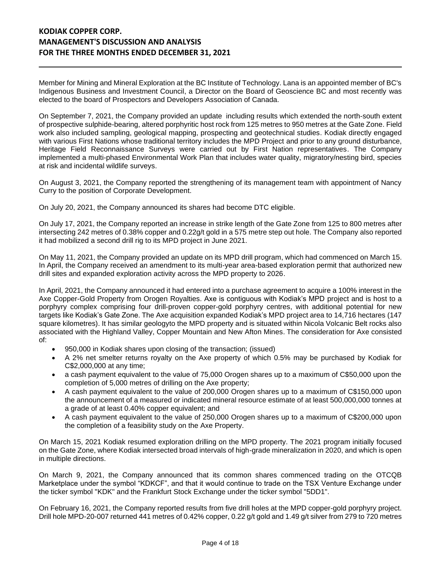Member for Mining and Mineral Exploration at the BC Institute of Technology. Lana is an appointed member of BC's Indigenous Business and Investment Council, a Director on the Board of Geoscience BC and most recently was elected to the board of Prospectors and Developers Association of Canada.

On September 7, 2021, the Company provided an update including results which extended the north-south extent of prospective sulphide-bearing, altered porphyritic host rock from 125 metres to 950 metres at the Gate Zone. Field work also included sampling, geological mapping, prospecting and geotechnical studies. Kodiak directly engaged with various First Nations whose traditional territory includes the MPD Project and prior to any ground disturbance, Heritage Field Reconnaissance Surveys were carried out by First Nation representatives. The Company implemented a multi-phased Environmental Work Plan that includes water quality, migratory/nesting bird, species at risk and incidental wildlife surveys.

On August 3, 2021, the Company reported the strengthening of its management team with appointment of Nancy Curry to the position of Corporate Development.

On July 20, 2021, the Company announced its shares had become DTC eligible.

On July 17, 2021, the Company reported an increase in strike length of the Gate Zone from 125 to 800 metres after intersecting 242 metres of 0.38% copper and 0.22g/t gold in a 575 metre step out hole. The Company also reported it had mobilized a second drill rig to its MPD project in June 2021.

On May 11, 2021, the Company provided an update on its MPD drill program, which had commenced on March 15. In April, the Company received an amendment to its multi-year area-based exploration permit that authorized new drill sites and expanded exploration activity across the MPD property to 2026.

In April, 2021, the Company announced it had entered into a purchase agreement to acquire a 100% interest in the Axe Copper-Gold Property from Orogen Royalties. Axe is contiguous with Kodiak's MPD project and is host to a porphyry complex comprising four drill-proven copper-gold porphyry centres, with additional potential for new targets like Kodiak's Gate Zone. The Axe acquisition expanded Kodiak's MPD project area to 14,716 hectares (147 square kilometres). It has similar geologyto the MPD property and is situated within Nicola Volcanic Belt rocks also associated with the Highland Valley, Copper Mountain and New Afton Mines. The consideration for Axe consisted of:

- 950,000 in Kodiak shares upon closing of the transaction; (issued)
- A 2% net smelter returns royalty on the Axe property of which 0.5% may be purchased by Kodiak for C\$2,000,000 at any time;
- a cash payment equivalent to the value of 75,000 Orogen shares up to a maximum of C\$50,000 upon the completion of 5,000 metres of drilling on the Axe property;
- A cash payment equivalent to the value of 200,000 Orogen shares up to a maximum of C\$150,000 upon the announcement of a measured or indicated mineral resource estimate of at least 500,000,000 tonnes at a grade of at least 0.40% copper equivalent; and
- A cash payment equivalent to the value of 250,000 Orogen shares up to a maximum of C\$200,000 upon the completion of a feasibility study on the Axe Property.

On March 15, 2021 Kodiak resumed exploration drilling on the MPD property. The 2021 program initially focused on the Gate Zone, where Kodiak intersected broad intervals of high-grade mineralization in 2020, and which is open in multiple directions.

On March 9, 2021, the Company announced that its common shares commenced trading on the OTCQB Marketplace under the symbol "KDKCF", and that it would continue to trade on the TSX Venture Exchange under the ticker symbol "KDK" and the Frankfurt Stock Exchange under the ticker symbol "5DD1".

On February 16, 2021, the Company reported results from five drill holes at the MPD copper-gold porphyry project. Drill hole MPD-20-007 returned 441 metres of 0.42% copper, 0.22 g/t gold and 1.49 g/t silver from 279 to 720 metres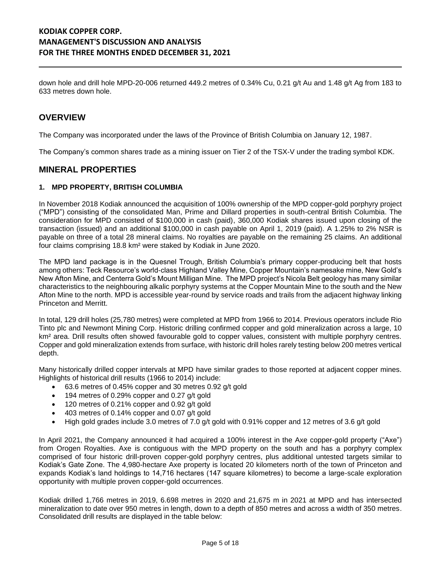down hole and drill hole MPD-20-006 returned 449.2 metres of 0.34% Cu, 0.21 g/t Au and 1.48 g/t Ag from 183 to 633 metres down hole.

## **OVERVIEW**

The Company was incorporated under the laws of the Province of British Columbia on January 12, 1987.

The Company's common shares trade as a mining issuer on Tier 2 of the TSX-V under the trading symbol KDK.

## **MINERAL PROPERTIES**

#### **1. MPD PROPERTY, BRITISH COLUMBIA**

In November 2018 Kodiak announced the acquisition of 100% ownership of the MPD copper-gold porphyry project ("MPD") consisting of the consolidated Man, Prime and Dillard properties in south-central British Columbia. The consideration for MPD consisted of \$100,000 in cash (paid), 360,000 Kodiak shares issued upon closing of the transaction (issued) and an additional \$100,000 in cash payable on April 1, 2019 (paid). A 1.25% to 2% NSR is payable on three of a total 28 mineral claims. No royalties are payable on the remaining 25 claims. An additional four claims comprising 18.8 km² were staked by Kodiak in June 2020.

The MPD land package is in the Quesnel Trough, British Columbia's primary copper-producing belt that hosts among others: Teck Resource's world-class Highland Valley Mine, Copper Mountain's namesake mine, New Gold's New Afton Mine, and Centerra Gold's Mount Milligan Mine. The MPD project's Nicola Belt geology has many similar characteristics to the neighbouring alkalic porphyry systems at the Copper Mountain Mine to the south and the New Afton Mine to the north. MPD is accessible year-round by service roads and trails from the adjacent highway linking Princeton and Merritt.

In total, 129 drill holes (25,780 metres) were completed at MPD from 1966 to 2014. Previous operators include Rio Tinto plc and Newmont Mining Corp. Historic drilling confirmed copper and gold mineralization across a large, 10 km<sup>2</sup> area. Drill results often showed favourable gold to copper values, consistent with multiple porphyry centres. Copper and gold mineralization extends from surface, with historic drill holes rarely testing below 200 metres vertical depth.

Many historically drilled copper intervals at MPD have similar grades to those reported at adjacent copper mines. Highlights of historical drill results (1966 to 2014) include:

- 63.6 metres of 0.45% copper and 30 metres 0.92 g/t gold
- 194 metres of 0.29% copper and 0.27 g/t gold
- 120 metres of 0.21% copper and 0.92 g/t gold
- 403 metres of 0.14% copper and 0.07 g/t gold
- High gold grades include 3.0 metres of 7.0 g/t gold with 0.91% copper and 12 metres of 3.6 g/t gold

In April 2021, the Company announced it had acquired a 100% interest in the Axe copper-gold property ("Axe") from Orogen Royalties. Axe is contiguous with the MPD property on the south and has a porphyry complex comprised of four historic drill-proven copper-gold porphyry centres, plus additional untested targets similar to Kodiak's Gate Zone. The 4,980-hectare Axe property is located 20 kilometers north of the town of Princeton and expands Kodiak's land holdings to 14,716 hectares (147 square kilometres) to become a large-scale exploration opportunity with multiple proven copper-gold occurrences.

Kodiak drilled 1,766 metres in 2019, 6.698 metres in 2020 and 21,675 m in 2021 at MPD and has intersected mineralization to date over 950 metres in length, down to a depth of 850 metres and across a width of 350 metres. Consolidated drill results are displayed in the table below: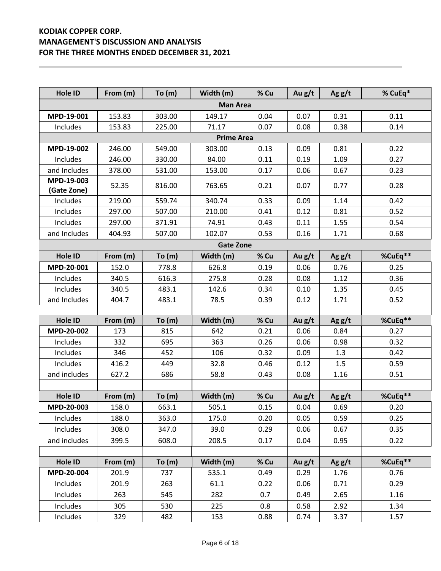| Hole ID                   | From (m) | To (m)   | Width (m)         | % Cu | Au g/t | Ag $g/t$ | % CuEq* |
|---------------------------|----------|----------|-------------------|------|--------|----------|---------|
|                           |          |          | <b>Man Area</b>   |      |        |          |         |
| MPD-19-001                | 153.83   | 303.00   | 149.17            | 0.04 | 0.07   | 0.31     | 0.11    |
| Includes                  | 153.83   | 225.00   | 71.17             | 0.07 | 0.08   | 0.38     | 0.14    |
|                           |          |          | <b>Prime Area</b> |      |        |          |         |
| MPD-19-002                | 246.00   | 549.00   | 303.00            | 0.13 | 0.09   | 0.81     | 0.22    |
| Includes                  | 246.00   | 330.00   | 84.00             | 0.11 | 0.19   | 1.09     | 0.27    |
| and Includes              | 378.00   | 531.00   | 153.00            | 0.17 | 0.06   | 0.67     | 0.23    |
| MPD-19-003<br>(Gate Zone) | 52.35    | 816.00   | 763.65            | 0.21 | 0.07   | 0.77     | 0.28    |
| Includes                  | 219.00   | 559.74   | 340.74            | 0.33 | 0.09   | 1.14     | 0.42    |
| Includes                  | 297.00   | 507.00   | 210.00            | 0.41 | 0.12   | 0.81     | 0.52    |
| Includes                  | 297.00   | 371.91   | 74.91             | 0.43 | 0.11   | 1.55     | 0.54    |
| and Includes              | 404.93   | 507.00   | 102.07            | 0.53 | 0.16   | 1.71     | 0.68    |
|                           |          |          | <b>Gate Zone</b>  |      |        |          |         |
| Hole ID                   | From (m) | To (m)   | Width (m)         | % Cu | Au g/t | Ag $g/t$ | %CuEq** |
| MPD-20-001                | 152.0    | 778.8    | 626.8             | 0.19 | 0.06   | 0.76     | 0.25    |
| Includes                  | 340.5    | 616.3    | 275.8             | 0.28 | 0.08   | 1.12     | 0.36    |
| Includes                  | 340.5    | 483.1    | 142.6             | 0.34 | 0.10   | 1.35     | 0.45    |
| and Includes              | 404.7    | 483.1    | 78.5              | 0.39 | 0.12   | 1.71     | 0.52    |
|                           |          |          |                   |      |        |          |         |
| Hole ID                   | From (m) | To $(m)$ | Width (m)         | % Cu | Au g/t | Ag $g/t$ | %CuEq** |
| MPD-20-002                | 173      | 815      | 642               | 0.21 | 0.06   | 0.84     | 0.27    |
| Includes                  | 332      | 695      | 363               | 0.26 | 0.06   | 0.98     | 0.32    |
| Includes                  | 346      | 452      | 106               | 0.32 | 0.09   | 1.3      | 0.42    |
| Includes                  | 416.2    | 449      | 32.8              | 0.46 | 0.12   | 1.5      | 0.59    |
| and includes              | 627.2    | 686      | 58.8              | 0.43 | 0.08   | 1.16     | 0.51    |
|                           |          |          |                   |      |        |          |         |
| Hole ID                   | From (m) | To (m)   | Width (m)         | % Cu | Au g/t | Ag $g/t$ | %CuEq** |
| MPD-20-003                | 158.0    | 663.1    | 505.1             | 0.15 | 0.04   | 0.69     | 0.20    |
| Includes                  | 188.0    | 363.0    | 175.0             | 0.20 | 0.05   | 0.59     | 0.25    |
| Includes                  | 308.0    | 347.0    | 39.0              | 0.29 | 0.06   | 0.67     | 0.35    |
| and includes              | 399.5    | 608.0    | 208.5             | 0.17 | 0.04   | 0.95     | 0.22    |
|                           |          |          |                   |      |        |          |         |
| Hole ID                   | From (m) | To $(m)$ | Width (m)         | % Cu | Au g/t | Ag $g/t$ | %CuEq** |
| MPD-20-004                | 201.9    | 737      | 535.1             | 0.49 | 0.29   | 1.76     | 0.76    |
| Includes                  | 201.9    | 263      | 61.1              | 0.22 | 0.06   | 0.71     | 0.29    |
| Includes                  | 263      | 545      | 282               | 0.7  | 0.49   | 2.65     | 1.16    |
| Includes                  | 305      | 530      | 225               | 0.8  | 0.58   | 2.92     | 1.34    |
| Includes                  | 329      | 482      | 153               | 0.88 | 0.74   | 3.37     | 1.57    |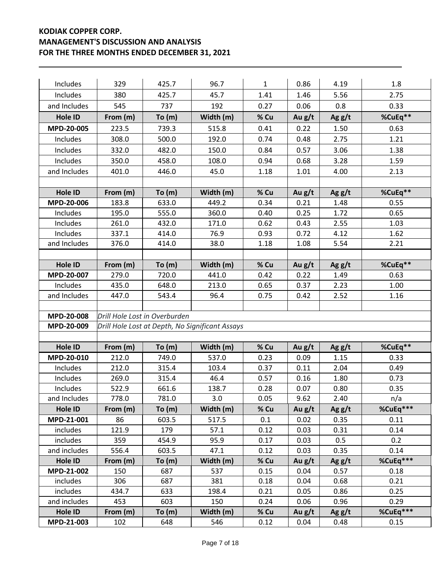| Includes             | 329          | 425.7                         | 96.7                                            | $\mathbf{1}$ | 0.86         | 4.19         | 1.8          |
|----------------------|--------------|-------------------------------|-------------------------------------------------|--------------|--------------|--------------|--------------|
| Includes             | 380          | 425.7                         | 45.7                                            | 1.41         | 1.46         | 5.56         | 2.75         |
| and Includes         | 545          | 737                           | 192                                             | 0.27         | 0.06         | 0.8          | 0.33         |
| Hole ID              | From (m)     | To(m)                         | Width (m)                                       | % Cu         | Au $g/t$     | Ag $g/t$     | %CuEq**      |
| MPD-20-005           | 223.5        | 739.3                         | 515.8                                           | 0.41         | 0.22         | 1.50         | 0.63         |
| Includes             | 308.0        | 500.0                         | 192.0                                           | 0.74         | 0.48         | 2.75         | 1.21         |
| Includes             | 332.0        | 482.0                         | 150.0                                           | 0.84         | 0.57         | 3.06         | 1.38         |
| Includes             | 350.0        | 458.0                         | 108.0                                           | 0.94         | 0.68         | 3.28         | 1.59         |
| and Includes         | 401.0        | 446.0                         | 45.0                                            | 1.18         | 1.01         | 4.00         | 2.13         |
|                      |              |                               |                                                 |              |              |              |              |
| Hole ID              | From (m)     | To(m)                         | Width (m)                                       | % Cu         | Au g/t       | Ag $g/t$     | %CuEq**      |
| MPD-20-006           | 183.8        | 633.0                         | 449.2                                           | 0.34         | 0.21         | 1.48         | 0.55         |
| Includes             | 195.0        | 555.0                         | 360.0                                           | 0.40         | 0.25         | 1.72         | 0.65         |
| Includes             | 261.0        | 432.0                         | 171.0                                           | 0.62         | 0.43         | 2.55         | 1.03         |
| Includes             | 337.1        | 414.0                         | 76.9                                            | 0.93         | 0.72         | 4.12         | 1.62         |
| and Includes         | 376.0        | 414.0                         | 38.0                                            | 1.18         | 1.08         | 5.54         | 2.21         |
|                      |              |                               |                                                 |              |              |              |              |
| <b>Hole ID</b>       | From (m)     | To(m)                         | Width (m)                                       | % Cu         | Au g/t       | Ag $g/t$     | %CuEq**      |
| MPD-20-007           | 279.0        | 720.0                         | 441.0                                           | 0.42         | 0.22         | 1.49         | 0.63         |
| Includes             | 435.0        | 648.0                         | 213.0                                           | 0.65         | 0.37         | 2.23         | 1.00         |
| and Includes         | 447.0        | 543.4                         | 96.4                                            | 0.75         | 0.42         | 2.52         | 1.16         |
|                      |              |                               |                                                 |              |              |              |              |
| MPD-20-008           |              | Drill Hole Lost in Overburden |                                                 |              |              |              |              |
| MPD-20-009           |              |                               | Drill Hole Lost at Depth, No Significant Assays |              |              |              |              |
|                      |              |                               |                                                 |              |              |              |              |
| Hole ID              | From (m)     | To (m)                        | Width (m)                                       | % Cu         | Au g/t       | Ag $g/t$     | %CuEq**      |
| MPD-20-010           | 212.0        | 749.0                         | 537.0                                           | 0.23         | 0.09         | 1.15         | 0.33         |
| Includes             | 212.0        | 315.4                         | 103.4                                           | 0.37         | 0.11         | 2.04         | 0.49         |
| Includes             | 269.0        | 315.4                         | 46.4                                            | 0.57         | 0.16         | 1.80         | 0.73         |
| Includes             | 522.9        | 661.6                         | 138.7                                           | 0.28         | 0.07         | 0.80         | 0.35         |
| and Includes         | 778.0        | 781.0                         | 3.0                                             | 0.05         | 9.62         | 2.40         | n/a          |
| Hole ID              | From (m)     | To(m)                         | Width (m)                                       | % Cu         | Au $g/t$     | Ag $g/t$     | %CuEq***     |
| MPD-21-001           | 86           | 603.5                         | 517.5                                           | 0.1          | 0.02         | 0.35         | 0.11         |
| includes             | 121.9        | 179                           | 57.1                                            | 0.12         | 0.03         | 0.31         | 0.14         |
| includes             | 359          | 454.9                         | 95.9                                            | 0.17         | 0.03         | 0.5          | 0.2          |
| and includes         | 556.4        | 603.5                         | 47.1                                            | 0.12         | 0.03         | 0.35         | 0.14         |
| Hole ID              | From (m)     | To(m)                         | Width (m)                                       | % Cu         | Au $g/t$     | Ag $g/t$     | %CuEq***     |
| MPD-21-002           | 150          | 687                           | 537                                             | 0.15         | 0.04         | 0.57         | 0.18         |
| includes<br>includes | 306<br>434.7 | 687<br>633                    | 381<br>198.4                                    | 0.18<br>0.21 | 0.04<br>0.05 | 0.68<br>0.86 | 0.21<br>0.25 |
| and includes         | 453          | 603                           | 150                                             | 0.24         | 0.06         | 0.96         | 0.29         |
| Hole ID              | From (m)     | To(m)                         | Width (m)                                       | % Cu         | Au g/t       | Ag $g/t$     | %CuEq***     |
| MPD-21-003           | 102          | 648                           | 546                                             | 0.12         | 0.04         | 0.48         | 0.15         |
|                      |              |                               |                                                 |              |              |              |              |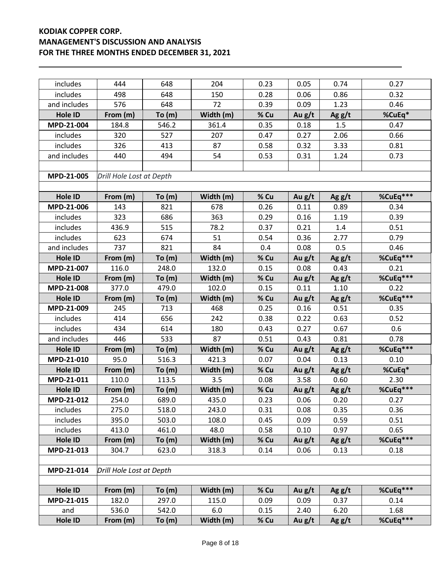| includes              | 444                      | 648    | 204       | 0.23 | 0.05   | 0.74     | 0.27             |
|-----------------------|--------------------------|--------|-----------|------|--------|----------|------------------|
| includes              | 498                      | 648    | 150       | 0.28 | 0.06   | 0.86     | 0.32             |
| and includes          | 576                      | 648    | 72        | 0.39 | 0.09   | 1.23     | 0.46             |
| Hole ID               | From (m)                 | To (m) | Width (m) | % Cu | Au g/t | Ag $g/t$ | %CuEq*           |
| MPD-21-004            | 184.8                    | 546.2  | 361.4     | 0.35 | 0.18   | 1.5      | 0.47             |
| includes              | 320                      | 527    | 207       | 0.47 | 0.27   | 2.06     | 0.66             |
| includes              | 326                      | 413    | 87        | 0.58 | 0.32   | 3.33     | 0.81             |
| and includes          | 440                      | 494    | 54        | 0.53 | 0.31   | 1.24     | 0.73             |
|                       |                          |        |           |      |        |          |                  |
| MPD-21-005            | Drill Hole Lost at Depth |        |           |      |        |          |                  |
|                       |                          |        |           |      |        |          |                  |
| Hole ID               | From (m)                 | To (m) | Width (m) | % Cu | Au g/t | Ag $g/t$ | %CuEq***         |
| MPD-21-006            | 143                      | 821    | 678       | 0.26 | 0.11   | 0.89     | 0.34             |
| includes              | 323                      | 686    | 363       | 0.29 | 0.16   | 1.19     | 0.39             |
| includes              | 436.9                    | 515    | 78.2      | 0.37 | 0.21   | 1.4      | 0.51             |
| includes              | 623                      | 674    | 51        | 0.54 | 0.36   | 2.77     | 0.79             |
| and includes          | 737                      | 821    | 84        | 0.4  | 0.08   | 0.5      | 0.46             |
| Hole ID               | From (m)                 | To(m)  | Width (m) | % Cu | Au g/t | Ag $g/t$ | %CuEq***         |
| MPD-21-007            | 116.0                    | 248.0  | 132.0     | 0.15 | 0.08   | 0.43     | 0.21             |
| <b>Hole ID</b>        | From (m)                 | To (m) | Width (m) | % Cu | Au g/t | Ag $g/t$ | %CuEq***         |
| MPD-21-008            | 377.0                    | 479.0  | 102.0     | 0.15 | 0.11   | 1.10     | 0.22             |
| Hole ID               | From (m)                 | To (m) | Width (m) | % Cu | Au g/t | Ag $g/t$ | %CuEq***         |
| MPD-21-009            | 245                      | 713    | 468       | 0.25 | 0.16   | 0.51     | 0.35             |
| includes              | 414                      | 656    | 242       | 0.38 | 0.22   | 0.63     | 0.52             |
| includes              | 434                      | 614    | 180       | 0.43 | 0.27   | 0.67     | 0.6              |
| and includes          | 446                      | 533    | 87        | 0.51 | 0.43   | 0.81     | 0.78             |
| <b>Hole ID</b>        | From (m)                 | To (m) | Width (m) | % Cu | Au g/t | Ag $g/t$ | %CuEq***         |
| MPD-21-010            | 95.0                     | 516.3  | 421.3     | 0.07 | 0.04   | 0.13     | 0.10             |
| Hole ID               | From (m)                 | To (m) | Width (m) | % Cu | Au g/t | Ag $g/t$ | %CuEq*           |
| MPD-21-011            | 110.0                    | 113.5  | 3.5       | 0.08 | 3.58   | 0.60     | 2.30             |
| Hole ID               | From (m)                 | To (m) | Width (m) | % Cu | Au g/t | Ag g/t   | %CuEq***         |
| MPD-21-012            | 254.0                    | 689.0  | 435.0     | 0.23 | 0.06   | 0.20     | 0.27             |
| includes              | 275.0                    | 518.0  | 243.0     | 0.31 | 0.08   | 0.35     | 0.36             |
| includes              | 395.0                    | 503.0  | 108.0     | 0.45 | 0.09   | 0.59     | 0.51             |
| includes              | 413.0                    | 461.0  | 48.0      | 0.58 | 0.10   | 0.97     | 0.65<br>%CuEq*** |
| Hole ID<br>MPD-21-013 | From (m)                 | To (m) | Width (m) | % Cu | Au g/t | Ag $g/t$ |                  |
|                       | 304.7                    | 623.0  | 318.3     | 0.14 | 0.06   | 0.13     | 0.18             |
| MPD-21-014            | Drill Hole Lost at Depth |        |           |      |        |          |                  |
|                       |                          |        |           |      |        |          |                  |
| Hole ID               | From $(m)$               | To(m)  | Width (m) | % Cu | Au g/t | Ag $g/t$ | %CuEq***         |
| MPD-21-015            | 182.0                    | 297.0  | 115.0     | 0.09 | 0.09   | 0.37     | 0.14             |
| and                   | 536.0                    | 542.0  | 6.0       | 0.15 | 2.40   | 6.20     | 1.68             |
| Hole ID               | From (m)                 | To(m)  | Width (m) | % Cu | Au g/t | Ag $g/t$ | %CuEq***         |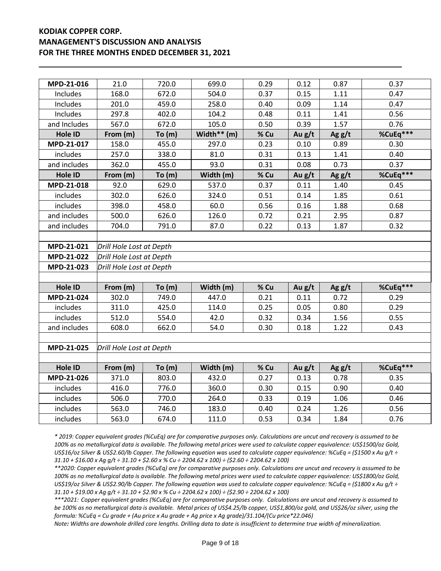| MPD-21-016     | 21.0                     | 720.0  | 699.0          | 0.29 | 0.12   | 0.87     | 0.37     |  |  |
|----------------|--------------------------|--------|----------------|------|--------|----------|----------|--|--|
|                | 168.0                    |        | 504.0          |      |        |          |          |  |  |
| Includes       |                          | 672.0  |                | 0.37 | 0.15   | 1.11     | 0.47     |  |  |
| Includes       | 201.0                    | 459.0  | 258.0          | 0.40 | 0.09   | 1.14     | 0.47     |  |  |
| Includes       | 297.8                    | 402.0  | 104.2          | 0.48 | 0.11   | 1.41     | 0.56     |  |  |
| and Includes   | 567.0                    | 672.0  | 105.0          | 0.50 | 0.39   | 1.57     | 0.76     |  |  |
| <b>Hole ID</b> | From (m)                 | To (m) | Width ** $(m)$ | % Cu | Au g/t | Ag $g/t$ | %CuEq*** |  |  |
| MPD-21-017     | 158.0                    | 455.0  | 297.0          | 0.23 | 0.10   | 0.89     | 0.30     |  |  |
| includes       | 257.0                    | 338.0  | 81.0           | 0.31 | 0.13   | 1.41     | 0.40     |  |  |
| and includes   | 362.0                    | 455.0  | 93.0           | 0.31 | 0.08   | 0.73     | 0.37     |  |  |
| Hole ID        | From (m)                 | To (m) | Width (m)      | % Cu | Au g/t | Ag g/t   | %CuEq*** |  |  |
| MPD-21-018     | 92.0                     | 629.0  | 537.0          | 0.37 | 0.11   | 1.40     | 0.45     |  |  |
| includes       | 302.0                    | 626.0  | 324.0          | 0.51 | 0.14   | 1.85     | 0.61     |  |  |
| includes       | 398.0                    | 458.0  | 60.0           | 0.56 | 0.16   | 1.88     | 0.68     |  |  |
| and includes   | 500.0                    | 626.0  | 126.0          | 0.72 | 0.21   | 2.95     | 0.87     |  |  |
| and includes   | 704.0                    | 791.0  | 87.0           | 0.22 | 0.13   | 1.87     | 0.32     |  |  |
|                |                          |        |                |      |        |          |          |  |  |
| MPD-21-021     | Drill Hole Lost at Depth |        |                |      |        |          |          |  |  |
| MPD-21-022     | Drill Hole Lost at Depth |        |                |      |        |          |          |  |  |
| MPD-21-023     | Drill Hole Lost at Depth |        |                |      |        |          |          |  |  |
|                |                          |        |                |      |        |          |          |  |  |
| <b>Hole ID</b> | From (m)                 | To (m) | Width (m)      | % Cu | Au g/t | Ag $g/t$ | %CuEq*** |  |  |
| MPD-21-024     | 302.0                    | 749.0  | 447.0          | 0.21 | 0.11   | 0.72     | 0.29     |  |  |
| includes       | 311.0                    | 425.0  | 114.0          | 0.25 | 0.05   | 0.80     | 0.29     |  |  |
| includes       | 512.0                    | 554.0  | 42.0           | 0.32 | 0.34   | 1.56     | 0.55     |  |  |
| and includes   | 608.0                    | 662.0  | 54.0           | 0.30 | 0.18   | 1.22     | 0.43     |  |  |
|                |                          |        |                |      |        |          |          |  |  |
| MPD-21-025     | Drill Hole Lost at Depth |        |                |      |        |          |          |  |  |
|                |                          |        |                |      |        |          |          |  |  |
| <b>Hole ID</b> | From (m)                 | To (m) | Width (m)      | % Cu | Au g/t | Ag $g/t$ | %CuEq*** |  |  |
| MPD-21-026     | 371.0                    | 803.0  | 432.0          | 0.27 | 0.13   | 0.78     | 0.35     |  |  |
| includes       | 416.0                    | 776.0  | 360.0          | 0.30 | 0.15   | 0.90     | 0.40     |  |  |
| includes       | 506.0                    | 770.0  | 264.0          | 0.33 | 0.19   | 1.06     | 0.46     |  |  |
| includes       | 563.0                    | 746.0  | 183.0          | 0.40 | 0.24   | 1.26     | 0.56     |  |  |
|                |                          |        |                |      |        |          |          |  |  |

*\* 2019: Copper equivalent grades (%CuEq) are for comparative purposes only. Calculations are uncut and recovery is assumed to be 100% as no metallurgical data is available. The following metal prices were used to calculate copper equivalence: US\$1500/oz Gold, US\$16/oz Silver & US\$2.60/lb Copper. The following equation was used to calculate copper equivalence: %CuEq = (\$1500 x Au g/t ÷ 31.10 + \$16.00 x Ag g/t ÷ 31.10 + \$2.60 x % Cu ÷ 2204.62 x 100) ÷ (\$2.60 ÷ 2204.62 x 100)*

*\*\*2020: Copper equivalent grades (%CuEq) are for comparative purposes only. Calculations are uncut and recovery is assumed to be 100% as no metallurgical data is available. The following metal prices were used to calculate copper equivalence: US\$1800/oz Gold, US\$19/oz Silver & US\$2.90/lb Copper. The following equation was used to calculate copper equivalence: %CuEq = (\$1800 x Au g/t ÷ 31.10 + \$19.00 x Ag g/t ÷ 31.10 + \$2.90 x % Cu ÷ 2204.62 x 100) ÷ (\$2.90 ÷ 2204.62 x 100)*

*\*\*\*2021: Copper equivalent grades (%CuEq) are for comparative purposes only. Calculations are uncut and recovery is assumed to be 100% as no metallurgical data is available. Metal prices of US\$4.25/lb copper, US\$1,800/oz gold, and US\$26/oz silver, using the formula: %CuEq = Cu grade + (Au price x Au grade + Ag price x Ag grade)/31.104/(Cu price\*22.046)*

*Note: Widths are downhole drilled core lengths. Drilling data to date is insufficient to determine true width of mineralization.*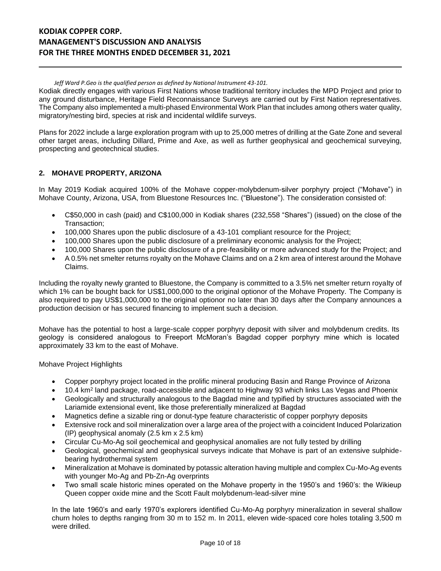*Jeff Ward P.Geo is the qualified person as defined by National Instrument 43-101.*

Kodiak directly engages with various First Nations whose traditional territory includes the MPD Project and prior to any ground disturbance, Heritage Field Reconnaissance Surveys are carried out by First Nation representatives. The Company also implemented a multi-phased Environmental Work Plan that includes among others water quality, migratory/nesting bird, species at risk and incidental wildlife surveys.

Plans for 2022 include a large exploration program with up to 25,000 metres of drilling at the Gate Zone and several other target areas, including Dillard, Prime and Axe, as well as further geophysical and geochemical surveying, prospecting and geotechnical studies.

## **2. MOHAVE PROPERTY, ARIZONA**

In May 2019 Kodiak acquired 100% of the Mohave copper-molybdenum-silver porphyry project ("Mohave") in Mohave County, Arizona, USA, from Bluestone Resources Inc. ("Bluestone"). The consideration consisted of:

- C\$50,000 in cash (paid) and C\$100,000 in Kodiak shares (232,558 "Shares") (issued) on the close of the Transaction;
- 100,000 Shares upon the public disclosure of a 43-101 compliant resource for the Project;
- 100,000 Shares upon the public disclosure of a preliminary economic analysis for the Project;
- 100,000 Shares upon the public disclosure of a pre-feasibility or more advanced study for the Project; and
- A 0.5% net smelter returns royalty on the Mohave Claims and on a 2 km area of interest around the Mohave Claims.

Including the royalty newly granted to Bluestone, the Company is committed to a 3.5% net smelter return royalty of which 1% can be bought back for US\$1,000,000 to the original optionor of the Mohave Property. The Company is also required to pay US\$1,000,000 to the original optionor no later than 30 days after the Company announces a production decision or has secured financing to implement such a decision.

Mohave has the potential to host a large-scale copper porphyry deposit with silver and molybdenum credits. Its geology is considered analogous to Freeport McMoran's Bagdad copper porphyry mine which is located approximately 33 km to the east of Mohave.

#### Mohave Project Highlights

- Copper porphyry project located in the prolific mineral producing Basin and Range Province of Arizona
- 10.4 km<sup>2</sup> land package, road-accessible and adjacent to Highway 93 which links Las Vegas and Phoenix
- Geologically and structurally analogous to the Bagdad mine and typified by structures associated with the Lariamide extensional event, like those preferentially mineralized at Bagdad
- Magnetics define a sizable ring or donut-type feature characteristic of copper porphyry deposits
- Extensive rock and soil mineralization over a large area of the project with a coincident Induced Polarization (IP) geophysical anomaly (2.5 km x 2.5 km)
- Circular Cu-Mo-Ag soil geochemical and geophysical anomalies are not fully tested by drilling
- Geological, geochemical and geophysical surveys indicate that Mohave is part of an extensive sulphidebearing hydrothermal system
- Mineralization at Mohave is dominated by potassic alteration having multiple and complex Cu-Mo-Ag events with younger Mo-Ag and Pb-Zn-Ag overprints
- Two small scale historic mines operated on the Mohave property in the 1950's and 1960's: the Wikieup Queen copper oxide mine and the Scott Fault molybdenum-lead-silver mine

In the late 1960's and early 1970's explorers identified Cu-Mo-Ag porphyry mineralization in several shallow churn holes to depths ranging from 30 m to 152 m. In 2011, eleven wide-spaced core holes totaling 3,500 m were drilled.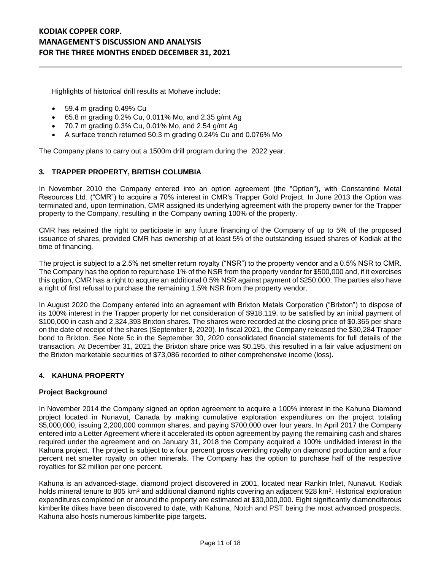Highlights of historical drill results at Mohave include:

- 59.4 m grading 0.49% Cu
- 65.8 m grading 0.2% Cu, 0.011% Mo, and 2.35 g/mt Ag
- 70.7 m grading 0.3% Cu, 0.01% Mo, and 2.54 g/mt Ag
- A surface trench returned 50.3 m grading 0.24% Cu and 0.076% Mo

The Company plans to carry out a 1500m drill program during the 2022 year.

#### **3. TRAPPER PROPERTY, BRITISH COLUMBIA**

In November 2010 the Company entered into an option agreement (the "Option"), with Constantine Metal Resources Ltd. ("CMR") to acquire a 70% interest in CMR's Trapper Gold Project. In June 2013 the Option was terminated and, upon termination, CMR assigned its underlying agreement with the property owner for the Trapper property to the Company, resulting in the Company owning 100% of the property.

CMR has retained the right to participate in any future financing of the Company of up to 5% of the proposed issuance of shares, provided CMR has ownership of at least 5% of the outstanding issued shares of Kodiak at the time of financing.

The project is subject to a 2.5% net smelter return royalty ("NSR") to the property vendor and a 0.5% NSR to CMR. The Company has the option to repurchase 1% of the NSR from the property vendor for \$500,000 and, if it exercises this option, CMR has a right to acquire an additional 0.5% NSR against payment of \$250,000. The parties also have a right of first refusal to purchase the remaining 1.5% NSR from the property vendor.

In August 2020 the Company entered into an agreement with Brixton Metals Corporation ("Brixton") to dispose of its 100% interest in the Trapper property for net consideration of \$918,119, to be satisfied by an initial payment of \$100,000 in cash and 2,324,393 Brixton shares. The shares were recorded at the closing price of \$0.365 per share on the date of receipt of the shares (September 8, 2020). In fiscal 2021, the Company released the \$30,284 Trapper bond to Brixton. See Note 5c in the September 30, 2020 consolidated financial statements for full details of the transaction. At December 31, 2021 the Brixton share price was \$0.195, this resulted in a fair value adjustment on the Brixton marketable securities of \$73,086 recorded to other comprehensive income (loss).

#### **4. KAHUNA PROPERTY**

#### **Project Background**

In November 2014 the Company signed an option agreement to acquire a 100% interest in the Kahuna Diamond project located in Nunavut, Canada by making cumulative exploration expenditures on the project totaling \$5,000,000, issuing 2,200,000 common shares, and paying \$700,000 over four years. In April 2017 the Company entered into a Letter Agreement where it accelerated its option agreement by paying the remaining cash and shares required under the agreement and on January 31, 2018 the Company acquired a 100% undivided interest in the Kahuna project. The project is subject to a four percent gross overriding royalty on diamond production and a four percent net smelter royalty on other minerals. The Company has the option to purchase half of the respective royalties for \$2 million per one percent.

Kahuna is an advanced-stage, diamond project discovered in 2001, located near Rankin Inlet, Nunavut. Kodiak holds mineral tenure to 805 km<sup>2</sup> and additional diamond rights covering an adjacent 928 km<sup>2</sup>. Historical exploration expenditures completed on or around the property are estimated at \$30,000,000. Eight significantly diamondiferous kimberlite dikes have been discovered to date, with Kahuna, Notch and PST being the most advanced prospects. Kahuna also hosts numerous kimberlite pipe targets.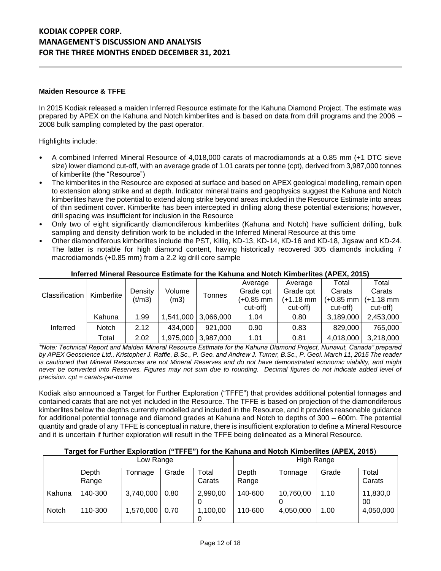#### **Maiden Resource & TFFE**

In 2015 Kodiak released a maiden Inferred Resource estimate for the Kahuna Diamond Project. The estimate was prepared by APEX on the Kahuna and Notch kimberlites and is based on data from drill programs and the 2006 – 2008 bulk sampling completed by the past operator.

Highlights include:

- A combined Inferred Mineral Resource of 4,018,000 carats of macrodiamonds at a 0.85 mm (+1 DTC sieve size) lower diamond cut-off, with an average grade of 1.01 carats per tonne (cpt), derived from 3,987,000 tonnes of kimberlite (the "Resource")
- The kimberlites in the Resource are exposed at surface and based on APEX geological modelling, remain open to extension along strike and at depth. Indicator mineral trains and geophysics suggest the Kahuna and Notch kimberlites have the potential to extend along strike beyond areas included in the Resource Estimate into areas of thin sediment cover. Kimberlite has been intercepted in drilling along these potential extensions; however, drill spacing was insufficient for inclusion in the Resource
- Only two of eight significantly diamondiferous kimberlites (Kahuna and Notch) have sufficient drilling, bulk sampling and density definition work to be included in the Inferred Mineral Resource at this time
- Other diamondiferous kimberlites include the PST, Killiq, KD-13, KD-14, KD-16 and KD-18, Jigsaw and KD-24. The latter is notable for high diamond content, having historically recovered 305 diamonds including 7 macrodiamonds (+0.85 mm) from a 2.2 kg drill core sample

|                |              |         | Volume<br>(m3) |                     | Average   | Average   | Total       | Total       |
|----------------|--------------|---------|----------------|---------------------|-----------|-----------|-------------|-------------|
| Classification | Kimberlite   | Density |                | Tonnes              | Grade cpt | Grade cpt | Carats      | Carats      |
|                |              | (t/m3)  |                |                     | (+0.85 mm | (+1.18 mm | $(+0.85$ mm | $(+1.18$ mm |
|                |              |         |                |                     | cut-off)  | cut-off)  | cut-off)    | cut-off)    |
|                | Kahuna       | 1.99    |                | 1,541,000 3,066,000 | 1.04      | 0.80      | 3,189,000   | 2,453,000   |
| Inferred       | <b>Notch</b> | 2.12    | 434.000        | 921.000             | 0.90      | 0.83      | 829,000     | 765,000     |
|                | Total        | 2.02    |                | 1,975,000 3,987,000 | 1.01      | 0.81      | 4,018,000   | 3,218,000   |

#### **Inferred Mineral Resource Estimate for the Kahuna and Notch Kimberlites (APEX, 2015)**

*\*Note: Technical Report and Maiden Mineral Resource Estimate for the Kahuna Diamond Project, Nunavut, Canada" prepared by APEX Geoscience Ltd., Kristopher J. Raffle, B.Sc., P. Geo. and Andrew J. Turner, B.Sc., P. Geol. March 11, 2015 The reader is cautioned that Mineral Resources are not Mineral Reserves and do not have demonstrated economic viability, and might never be converted into Reserves. Figures may not sum due to rounding. Decimal figures do not indicate added level of precision. cpt = carats-per-tonne*

Kodiak also announced a Target for Further Exploration ("TFFE") that provides additional potential tonnages and contained carats that are not yet included in the Resource. The TFFE is based on projection of the diamondiferous kimberlites below the depths currently modelled and included in the Resource, and it provides reasonable guidance for additional potential tonnage and diamond grades at Kahuna and Notch to depths of 300 – 600m. The potential quantity and grade of any TFFE is conceptual in nature, there is insufficient exploration to define a Mineral Resource and it is uncertain if further exploration will result in the TFFE being delineated as a Mineral Resource.

#### **Target for Further Exploration ("TFFE") for the Kahuna and Notch Kimberlites (APEX, 2015**)

|        | Low Range      |           |       |                 | High Range     |           |       |                 |
|--------|----------------|-----------|-------|-----------------|----------------|-----------|-------|-----------------|
|        | Depth<br>Range | Tonnage   | Grade | Total<br>Carats | Depth<br>Range | Tonnage   | Grade | Total<br>Carats |
| Kahuna | 140-300        | 3,740,000 | 0.80  | 2,990,00        | 140-600        | 10,760,00 | 1.10  | 11,830,0<br>00  |
| Notch  | 110-300        | 1,570,000 | 0.70  | 1,100,00        | 110-600        | 4,050,000 | 1.00  | 4,050,000       |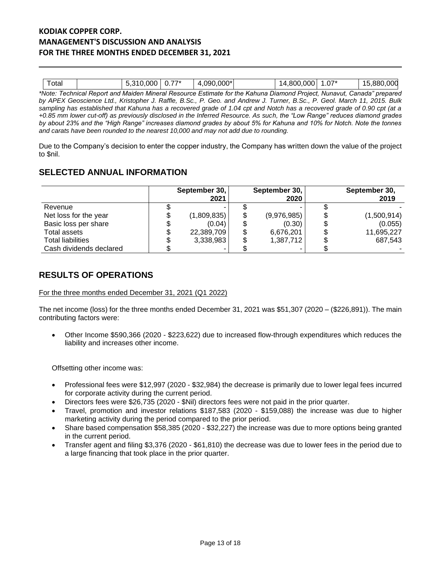| otal |                          | 0.000<br>י כ<br>v.v | $77*$<br>0.1 | .'*0.000. ل.<br>.09C<br>- |             | 14.800.000               | $\sim$ $-$<br>, ט | 5.880.000 |
|------|--------------------------|---------------------|--------------|---------------------------|-------------|--------------------------|-------------------|-----------|
| .    | $\overline{\phantom{a}}$ | $\cdots$            | .            | $\overline{\phantom{0}}$  | $\sim$<br>. | $\overline{\phantom{a}}$ | .                 | $\cdots$  |

*\*Note: Technical Report and Maiden Mineral Resource Estimate for the Kahuna Diamond Project, Nunavut, Canada" prepared by APEX Geoscience Ltd., Kristopher J. Raffle, B.Sc., P. Geo. and Andrew J. Turner, B.Sc., P. Geol. March 11, 2015. Bulk sampling has established that Kahuna has a recovered grade of 1.04 cpt and Notch has a recovered grade of 0.90 cpt (at a +0.85 mm lower cut-off) as previously disclosed in the Inferred Resource. As such, the "Low Range" reduces diamond grades by about 23% and the "High Range" increases diamond grades by about 5% for Kahuna and 10% for Notch. Note the tonnes and carats have been rounded to the nearest 10,000 and may not add due to rounding.*

Due to the Company's decision to enter the copper industry, the Company has written down the value of the project to \$nil.

# **SELECTED ANNUAL INFORMATION**

|                          | September 30,<br>2021 |    | September 30,<br>2020 | September 30,<br>2019 |
|--------------------------|-----------------------|----|-----------------------|-----------------------|
| Revenue                  |                       |    |                       |                       |
| Net loss for the year    | \$<br>(1,809,835)     | \$ | (9,976,985)           | (1,500,914)           |
| Basic loss per share     | \$<br>(0.04)          | Œ  | (0.30)                | (0.055)               |
| Total assets             | \$<br>22,389,709      | \$ | 6,676,201             | 11,695,227            |
| <b>Total liabilities</b> | \$<br>3,338,983       | \$ | 1,387,712             | 687,543               |
| Cash dividends declared  |                       |    |                       |                       |

# **RESULTS OF OPERATIONS**

For the three months ended December 31, 2021 (Q1 2022)

The net income (loss) for the three months ended December 31, 2021 was \$51,307 (2020 – (\$226,891)). The main contributing factors were:

• Other Income \$590,366 (2020 - \$223,622) due to increased flow-through expenditures which reduces the liability and increases other income.

Offsetting other income was:

- Professional fees were \$12,997 (2020 \$32,984) the decrease is primarily due to lower legal fees incurred for corporate activity during the current period.
- Directors fees were \$26,735 (2020 \$Nil) directors fees were not paid in the prior quarter.
- Travel, promotion and investor relations \$187,583 (2020 \$159,088) the increase was due to higher marketing activity during the period compared to the prior period.
- Share based compensation \$58,385 (2020 \$32,227) the increase was due to more options being granted in the current period.
- Transfer agent and filing \$3,376 (2020 \$61,810) the decrease was due to lower fees in the period due to a large financing that took place in the prior quarter.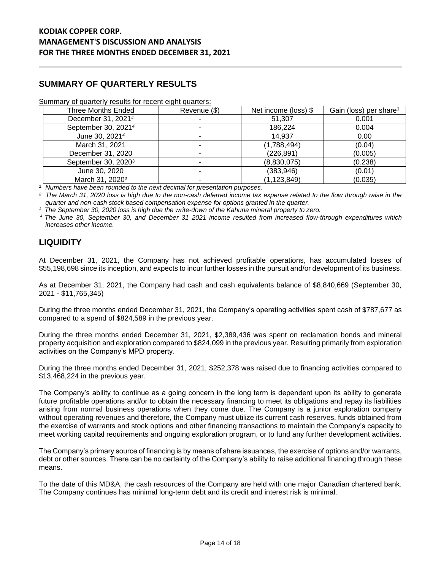# **SUMMARY OF QUARTERLY RESULTS**

Summary of quarterly results for recent eight quarters:

| Three Months Ended              | Revenue (\$) | Net income (loss) \$ | Gain (loss) per share <sup>1</sup> |  |
|---------------------------------|--------------|----------------------|------------------------------------|--|
| December 31, 2021 <sup>4</sup>  |              | 51,307               | 0.001                              |  |
| September 30, 2021 <sup>4</sup> |              | 186,224              | 0.004                              |  |
| June 30, 2021 <sup>4</sup>      |              | 14,937               | 0.00                               |  |
| March 31, 2021                  |              | (1,788,494)          | (0.04)                             |  |
| December 31, 2020               |              | (226, 891)           | (0.005)                            |  |
| September 30, 2020 <sup>3</sup> |              | (8,830,075)          | (0.238)                            |  |
| June 30, 2020                   |              | (383,946)            | (0.01)                             |  |
| March 31, 2020 <sup>2</sup>     |              | (1, 123, 849)        | (0.035)                            |  |

**<sup>1</sup>** *Numbers have been rounded to the next decimal for presentation purposes.*

*² The March 31, 2020 loss is high due to the non-cash deferred income tax expense related to the flow through raise in the quarter and non-cash stock based compensation expense for options granted in the quarter.*

*³ The September 30, 2020 loss is high due the write-down of the Kahuna mineral property to zero.*

*<sup>4</sup> The June 30, September 30, and December 31 2021 income resulted from increased flow-through expenditures which increases other income.*

# **LIQUIDITY**

At December 31, 2021, the Company has not achieved profitable operations, has accumulated losses of \$55,198,698 since its inception, and expects to incur further losses in the pursuit and/or development of its business.

As at December 31, 2021, the Company had cash and cash equivalents balance of \$8,840,669 (September 30, 2021 - \$11,765,345)

During the three months ended December 31, 2021, the Company's operating activities spent cash of \$787,677 as compared to a spend of \$824,589 in the previous year.

During the three months ended December 31, 2021, \$2,389,436 was spent on reclamation bonds and mineral property acquisition and exploration compared to \$824,099 in the previous year. Resulting primarily from exploration activities on the Company's MPD property.

During the three months ended December 31, 2021, \$252,378 was raised due to financing activities compared to \$13,468,224 in the previous year.

The Company's ability to continue as a going concern in the long term is dependent upon its ability to generate future profitable operations and/or to obtain the necessary financing to meet its obligations and repay its liabilities arising from normal business operations when they come due. The Company is a junior exploration company without operating revenues and therefore, the Company must utilize its current cash reserves, funds obtained from the exercise of warrants and stock options and other financing transactions to maintain the Company's capacity to meet working capital requirements and ongoing exploration program, or to fund any further development activities.

The Company's primary source of financing is by means of share issuances, the exercise of options and/or warrants, debt or other sources. There can be no certainty of the Company's ability to raise additional financing through these means.

To the date of this MD&A, the cash resources of the Company are held with one major Canadian chartered bank. The Company continues has minimal long-term debt and its credit and interest risk is minimal.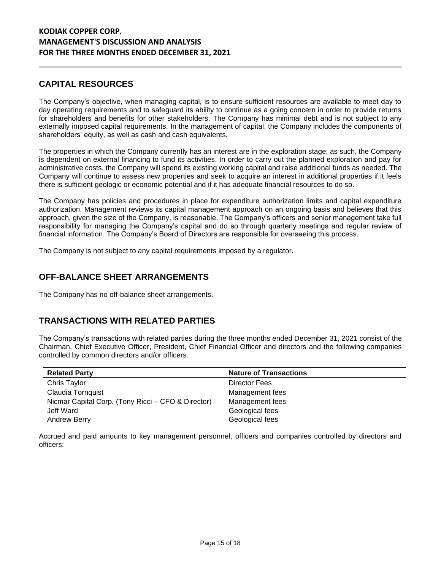# **CAPITAL RESOURCES**

The Company's objective, when managing capital, is to ensure sufficient resources are available to meet day to day operating requirements and to safeguard its ability to continue as a going concern in order to provide returns for shareholders and benefits for other stakeholders. The Company has minimal debt and is not subject to any externally imposed capital requirements. In the management of capital, the Company includes the components of shareholders' equity, as well as cash and cash equivalents.

The properties in which the Company currently has an interest are in the exploration stage; as such, the Company is dependent on external financing to fund its activities. In order to carry out the planned exploration and pay for administrative costs, the Company will spend its existing working capital and raise additional funds as needed. The Company will continue to assess new properties and seek to acquire an interest in additional properties if it feels there is sufficient geologic or economic potential and if it has adequate financial resources to do so.

The Company has policies and procedures in place for expenditure authorization limits and capital expenditure authorization. Management reviews its capital management approach on an ongoing basis and believes that this approach, given the size of the Company, is reasonable. The Company's officers and senior management take full responsibility for managing the Company's capital and do so through quarterly meetings and regular review of financial information. The Company's Board of Directors are responsible for overseeing this process.

The Company is not subject to any capital requirements imposed by a regulator.

## **OFF-BALANCE SHEET ARRANGEMENTS**

The Company has no off-balance sheet arrangements.

# **TRANSACTIONS WITH RELATED PARTIES**

The Company's transactions with related parties during the three months ended December 31, 2021 consist of the Chairman, Chief Executive Officer, President, Chief Financial Officer and directors and the following companies controlled by common directors and/or officers.

| <b>Related Party</b>                               | <b>Nature of Transactions</b> |
|----------------------------------------------------|-------------------------------|
| Chris Taylor                                       | Director Fees                 |
| Claudia Tornquist                                  | Management fees               |
| Nicmar Capital Corp. (Tony Ricci – CFO & Director) | Management fees               |
| Jeff Ward                                          | Geological fees               |
| <b>Andrew Berry</b>                                | Geological fees               |

Accrued and paid amounts to key management personnel, officers and companies controlled by directors and officers: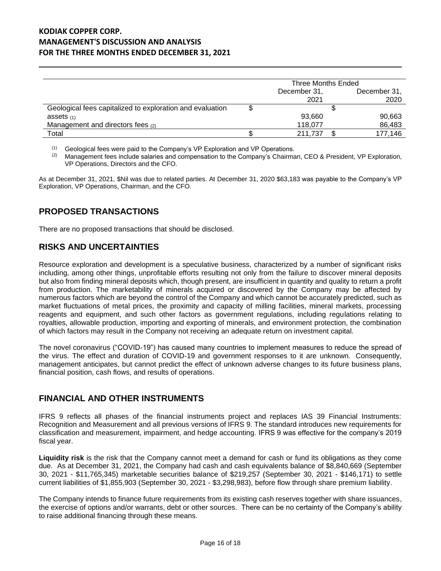|                                                           | Three Months Ended |  |              |  |
|-----------------------------------------------------------|--------------------|--|--------------|--|
|                                                           | December 31,       |  | December 31, |  |
|                                                           | 2021               |  | 2020         |  |
| Geological fees capitalized to exploration and evaluation |                    |  |              |  |
| assets $(1)$                                              | 93,660             |  | 90,663       |  |
| Management and directors fees (2)                         | 118.077            |  | 86,483       |  |
| Total                                                     | 211.737            |  | 177,146      |  |

 $(1)$  Geological fees were paid to the Company's VP Exploration and VP Operations.

 $(2)$  Management fees include salaries and compensation to the Company's Chairman, CEO & President, VP Exploration, VP Operations, Directors and the CFO.

As at December 31, 2021, \$Nil was due to related parties. At December 31, 2020 \$63,183 was payable to the Company's VP Exploration, VP Operations, Chairman, and the CFO.

# **PROPOSED TRANSACTIONS**

There are no proposed transactions that should be disclosed.

# **RISKS AND UNCERTAINTIES**

Resource exploration and development is a speculative business, characterized by a number of significant risks including, among other things, unprofitable efforts resulting not only from the failure to discover mineral deposits but also from finding mineral deposits which, though present, are insufficient in quantity and quality to return a profit from production. The marketability of minerals acquired or discovered by the Company may be affected by numerous factors which are beyond the control of the Company and which cannot be accurately predicted, such as market fluctuations of metal prices, the proximity and capacity of milling facilities, mineral markets, processing reagents and equipment, and such other factors as government regulations, including regulations relating to royalties, allowable production, importing and exporting of minerals, and environment protection, the combination of which factors may result in the Company not receiving an adequate return on investment capital.

The novel coronavirus ("COVID-19") has caused many countries to implement measures to reduce the spread of the virus. The effect and duration of COVID-19 and government responses to it are unknown. Consequently, management anticipates, but cannot predict the effect of unknown adverse changes to its future business plans, financial position, cash flows, and results of operations.

## **FINANCIAL AND OTHER INSTRUMENTS**

IFRS 9 reflects all phases of the financial instruments project and replaces IAS 39 Financial Instruments: Recognition and Measurement and all previous versions of IFRS 9. The standard introduces new requirements for classification and measurement, impairment, and hedge accounting. IFRS 9 was effective for the company's 2019 fiscal year.

**Liquidity risk** is the risk that the Company cannot meet a demand for cash or fund its obligations as they come due. As at December 31, 2021, the Company had cash and cash equivalents balance of \$8,840,669 (September 30, 2021 - \$11,765,345) marketable securities balance of \$219,257 (September 30, 2021 - \$146,171) to settle current liabilities of \$1,855,903 (September 30, 2021 - \$3,298,983), before flow through share premium liability.

The Company intends to finance future requirements from its existing cash reserves together with share issuances, the exercise of options and/or warrants, debt or other sources. There can be no certainty of the Company's ability to raise additional financing through these means.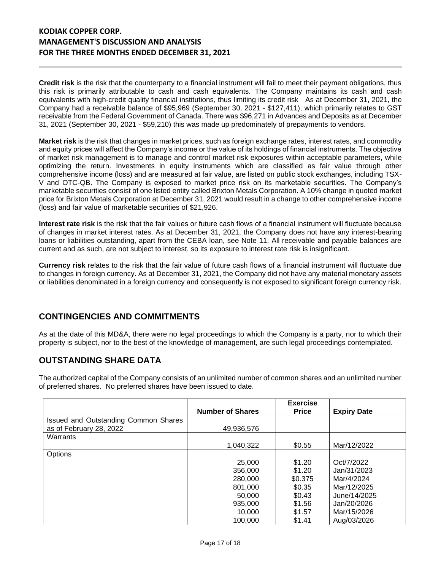**Credit risk** is the risk that the counterparty to a financial instrument will fail to meet their payment obligations, thus this risk is primarily attributable to cash and cash equivalents. The Company maintains its cash and cash equivalents with high-credit quality financial institutions, thus limiting its credit risk As at December 31, 2021, the Company had a receivable balance of \$95,969 (September 30, 2021 - \$127,411), which primarily relates to GST receivable from the Federal Government of Canada. There was \$96,271 in Advances and Deposits as at December 31, 2021 (September 30, 2021 - \$59,210) this was made up predominately of prepayments to vendors.

**Market risk** is the risk that changes in market prices, such as foreign exchange rates, interest rates, and commodity and equity prices will affect the Company's income or the value of its holdings of financial instruments. The objective of market risk management is to manage and control market risk exposures within acceptable parameters, while optimizing the return. Investments in equity instruments which are classified as fair value through other comprehensive income (loss) and are measured at fair value, are listed on public stock exchanges, including TSX-V and OTC-QB. The Company is exposed to market price risk on its marketable securities. The Company's marketable securities consist of one listed entity called Brixton Metals Corporation. A 10% change in quoted market price for Brixton Metals Corporation at December 31, 2021 would result in a change to other comprehensive income (loss) and fair value of marketable securities of \$21,926.

**Interest rate risk** is the risk that the fair values or future cash flows of a financial instrument will fluctuate because of changes in market interest rates. As at December 31, 2021, the Company does not have any interest-bearing loans or liabilities outstanding, apart from the CEBA loan, see Note 11. All receivable and payable balances are current and as such, are not subject to interest, so its exposure to interest rate risk is insignificant.

**Currency risk** relates to the risk that the fair value of future cash flows of a financial instrument will fluctuate due to changes in foreign currency. As at December 31, 2021, the Company did not have any material monetary assets or liabilities denominated in a foreign currency and consequently is not exposed to significant foreign currency risk.

# **CONTINGENCIES AND COMMITMENTS**

As at the date of this MD&A, there were no legal proceedings to which the Company is a party, nor to which their property is subject, nor to the best of the knowledge of management, are such legal proceedings contemplated.

# **OUTSTANDING SHARE DATA**

The authorized capital of the Company consists of an unlimited number of common shares and an unlimited number of preferred shares. No preferred shares have been issued to date.

|                                      | <b>Number of Shares</b> | <b>Exercise</b><br><b>Price</b> | <b>Expiry Date</b> |
|--------------------------------------|-------------------------|---------------------------------|--------------------|
| Issued and Outstanding Common Shares |                         |                                 |                    |
| as of February 28, 2022              | 49,936,576              |                                 |                    |
| Warrants                             |                         |                                 |                    |
|                                      | 1.040.322               | \$0.55                          | Mar/12/2022        |
| Options                              |                         |                                 |                    |
|                                      | 25,000                  | \$1.20                          | Oct/7/2022         |
|                                      | 356,000                 | \$1.20                          | Jan/31/2023        |
|                                      | 280,000                 | \$0.375                         | Mar/4/2024         |
|                                      | 801,000                 | \$0.35                          | Mar/12/2025        |
|                                      | 50,000                  | \$0.43                          | June/14/2025       |
|                                      | 935,000                 | \$1.56                          | Jan/20/2026        |
|                                      | 10,000                  | \$1.57                          | Mar/15/2026        |
|                                      | 100.000                 | \$1.41                          | Aug/03/2026        |